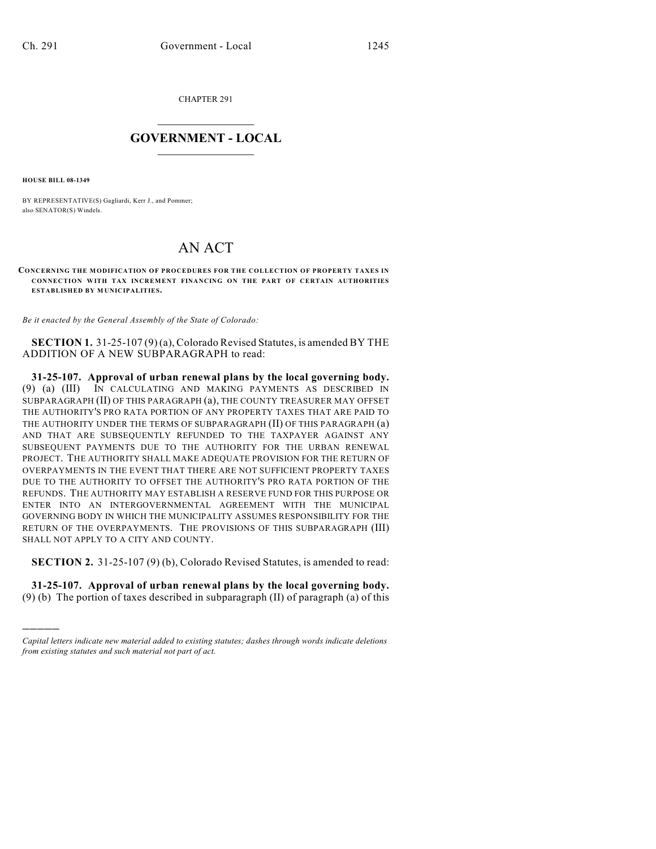CHAPTER 291

## $\overline{\phantom{a}}$  . The set of the set of the set of the set of the set of the set of the set of the set of the set of the set of the set of the set of the set of the set of the set of the set of the set of the set of the set o **GOVERNMENT - LOCAL**  $\_$

**HOUSE BILL 08-1349**

)))))

BY REPRESENTATIVE(S) Gagliardi, Kerr J., and Pommer; also SENATOR(S) Windels.

## AN ACT

**CONCERNING THE MODIFICATION OF PROCEDURES FOR THE COLLECTION OF PROPERTY TAXES IN CONNECTION WITH TAX INCREMENT FINANCING ON THE PART OF CERTAIN AUTHORITIES ESTABLISHED BY M UNICIPALITIES.**

*Be it enacted by the General Assembly of the State of Colorado:*

**SECTION 1.** 31-25-107 (9) (a), Colorado Revised Statutes, is amended BY THE ADDITION OF A NEW SUBPARAGRAPH to read:

**31-25-107. Approval of urban renewal plans by the local governing body.** (9) (a) (III) IN CALCULATING AND MAKING PAYMENTS AS DESCRIBED IN SUBPARAGRAPH (II) OF THIS PARAGRAPH (a), THE COUNTY TREASURER MAY OFFSET THE AUTHORITY'S PRO RATA PORTION OF ANY PROPERTY TAXES THAT ARE PAID TO THE AUTHORITY UNDER THE TERMS OF SUBPARAGRAPH (II) OF THIS PARAGRAPH (a) AND THAT ARE SUBSEQUENTLY REFUNDED TO THE TAXPAYER AGAINST ANY SUBSEQUENT PAYMENTS DUE TO THE AUTHORITY FOR THE URBAN RENEWAL PROJECT. THE AUTHORITY SHALL MAKE ADEQUATE PROVISION FOR THE RETURN OF OVERPAYMENTS IN THE EVENT THAT THERE ARE NOT SUFFICIENT PROPERTY TAXES DUE TO THE AUTHORITY TO OFFSET THE AUTHORITY'S PRO RATA PORTION OF THE REFUNDS. THE AUTHORITY MAY ESTABLISH A RESERVE FUND FOR THIS PURPOSE OR ENTER INTO AN INTERGOVERNMENTAL AGREEMENT WITH THE MUNICIPAL GOVERNING BODY IN WHICH THE MUNICIPALITY ASSUMES RESPONSIBILITY FOR THE RETURN OF THE OVERPAYMENTS. THE PROVISIONS OF THIS SUBPARAGRAPH (III) SHALL NOT APPLY TO A CITY AND COUNTY.

**SECTION 2.** 31-25-107 (9) (b), Colorado Revised Statutes, is amended to read:

**31-25-107. Approval of urban renewal plans by the local governing body.** (9) (b) The portion of taxes described in subparagraph (II) of paragraph (a) of this

*Capital letters indicate new material added to existing statutes; dashes through words indicate deletions from existing statutes and such material not part of act.*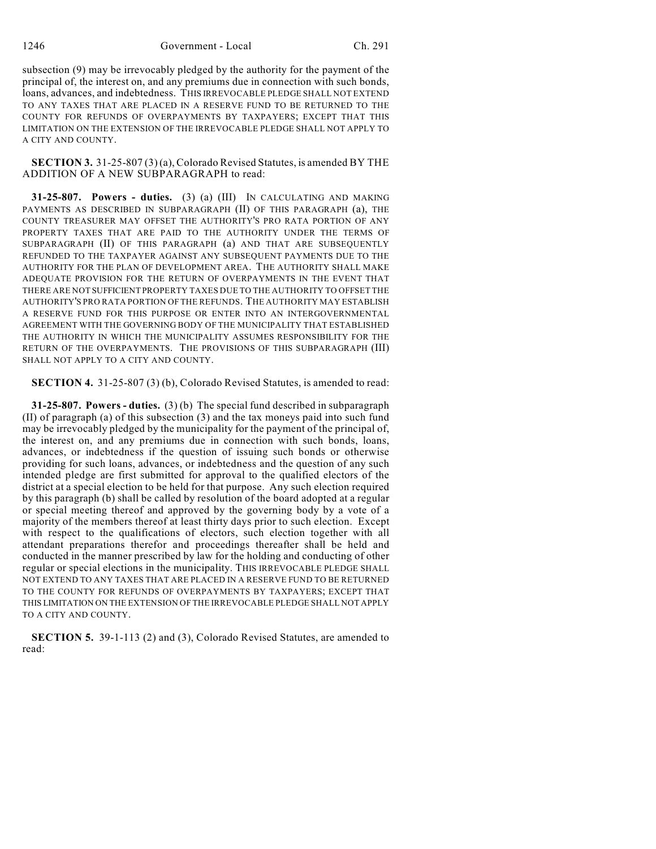subsection (9) may be irrevocably pledged by the authority for the payment of the principal of, the interest on, and any premiums due in connection with such bonds, loans, advances, and indebtedness. THIS IRREVOCABLE PLEDGE SHALL NOT EXTEND TO ANY TAXES THAT ARE PLACED IN A RESERVE FUND TO BE RETURNED TO THE COUNTY FOR REFUNDS OF OVERPAYMENTS BY TAXPAYERS; EXCEPT THAT THIS LIMITATION ON THE EXTENSION OF THE IRREVOCABLE PLEDGE SHALL NOT APPLY TO A CITY AND COUNTY.

**SECTION 3.** 31-25-807 (3) (a), Colorado Revised Statutes, is amended BY THE ADDITION OF A NEW SUBPARAGRAPH to read:

**31-25-807. Powers - duties.** (3) (a) (III) IN CALCULATING AND MAKING PAYMENTS AS DESCRIBED IN SUBPARAGRAPH (II) OF THIS PARAGRAPH (a), THE COUNTY TREASURER MAY OFFSET THE AUTHORITY'S PRO RATA PORTION OF ANY PROPERTY TAXES THAT ARE PAID TO THE AUTHORITY UNDER THE TERMS OF SUBPARAGRAPH (II) OF THIS PARAGRAPH (a) AND THAT ARE SUBSEQUENTLY REFUNDED TO THE TAXPAYER AGAINST ANY SUBSEQUENT PAYMENTS DUE TO THE AUTHORITY FOR THE PLAN OF DEVELOPMENT AREA. THE AUTHORITY SHALL MAKE ADEQUATE PROVISION FOR THE RETURN OF OVERPAYMENTS IN THE EVENT THAT THERE ARE NOT SUFFICIENT PROPERTY TAXES DUE TO THE AUTHORITY TO OFFSET THE AUTHORITY'S PRO RATA PORTION OF THE REFUNDS. THE AUTHORITY MAY ESTABLISH A RESERVE FUND FOR THIS PURPOSE OR ENTER INTO AN INTERGOVERNMENTAL AGREEMENT WITH THE GOVERNING BODY OF THE MUNICIPALITY THAT ESTABLISHED THE AUTHORITY IN WHICH THE MUNICIPALITY ASSUMES RESPONSIBILITY FOR THE RETURN OF THE OVERPAYMENTS. THE PROVISIONS OF THIS SUBPARAGRAPH (III) SHALL NOT APPLY TO A CITY AND COUNTY.

**SECTION 4.** 31-25-807 (3) (b), Colorado Revised Statutes, is amended to read:

**31-25-807. Powers - duties.** (3) (b) The special fund described in subparagraph (II) of paragraph (a) of this subsection (3) and the tax moneys paid into such fund may be irrevocably pledged by the municipality for the payment of the principal of, the interest on, and any premiums due in connection with such bonds, loans, advances, or indebtedness if the question of issuing such bonds or otherwise providing for such loans, advances, or indebtedness and the question of any such intended pledge are first submitted for approval to the qualified electors of the district at a special election to be held for that purpose. Any such election required by this paragraph (b) shall be called by resolution of the board adopted at a regular or special meeting thereof and approved by the governing body by a vote of a majority of the members thereof at least thirty days prior to such election. Except with respect to the qualifications of electors, such election together with all attendant preparations therefor and proceedings thereafter shall be held and conducted in the manner prescribed by law for the holding and conducting of other regular or special elections in the municipality. THIS IRREVOCABLE PLEDGE SHALL NOT EXTEND TO ANY TAXES THAT ARE PLACED IN A RESERVE FUND TO BE RETURNED TO THE COUNTY FOR REFUNDS OF OVERPAYMENTS BY TAXPAYERS; EXCEPT THAT THIS LIMITATION ON THE EXTENSION OF THE IRREVOCABLE PLEDGE SHALL NOT APPLY TO A CITY AND COUNTY.

**SECTION 5.** 39-1-113 (2) and (3), Colorado Revised Statutes, are amended to read: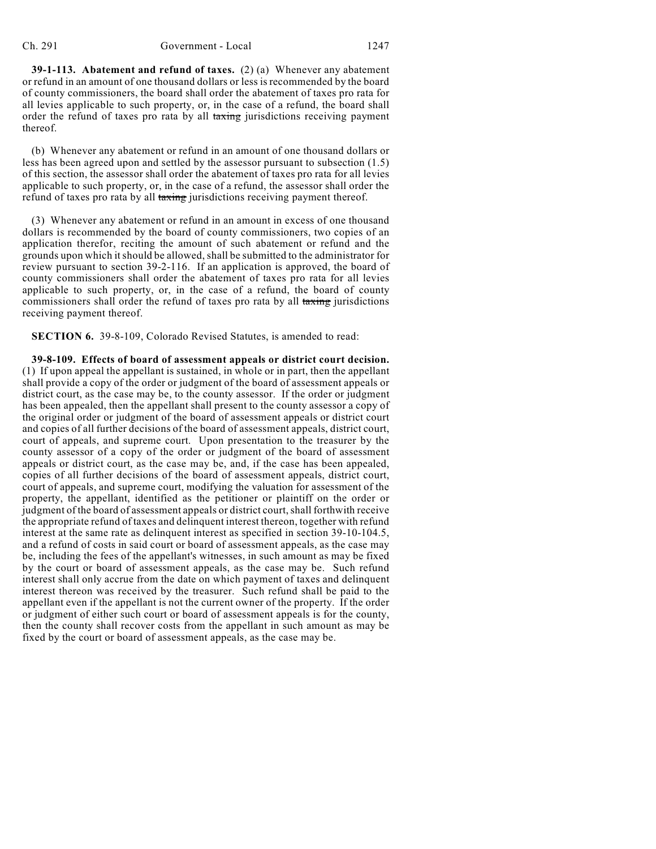**39-1-113. Abatement and refund of taxes.** (2) (a) Whenever any abatement or refund in an amount of one thousand dollars or less is recommended by the board of county commissioners, the board shall order the abatement of taxes pro rata for all levies applicable to such property, or, in the case of a refund, the board shall order the refund of taxes pro rata by all taxing jurisdictions receiving payment thereof.

(b) Whenever any abatement or refund in an amount of one thousand dollars or less has been agreed upon and settled by the assessor pursuant to subsection (1.5) of this section, the assessor shall order the abatement of taxes pro rata for all levies applicable to such property, or, in the case of a refund, the assessor shall order the refund of taxes pro rata by all taxing jurisdictions receiving payment thereof.

(3) Whenever any abatement or refund in an amount in excess of one thousand dollars is recommended by the board of county commissioners, two copies of an application therefor, reciting the amount of such abatement or refund and the grounds upon which it should be allowed, shall be submitted to the administrator for review pursuant to section 39-2-116. If an application is approved, the board of county commissioners shall order the abatement of taxes pro rata for all levies applicable to such property, or, in the case of a refund, the board of county commissioners shall order the refund of taxes pro rata by all taxing jurisdictions receiving payment thereof.

**SECTION 6.** 39-8-109, Colorado Revised Statutes, is amended to read:

**39-8-109. Effects of board of assessment appeals or district court decision.** (1) If upon appeal the appellant is sustained, in whole or in part, then the appellant shall provide a copy of the order or judgment of the board of assessment appeals or district court, as the case may be, to the county assessor. If the order or judgment has been appealed, then the appellant shall present to the county assessor a copy of the original order or judgment of the board of assessment appeals or district court and copies of all further decisions of the board of assessment appeals, district court, court of appeals, and supreme court. Upon presentation to the treasurer by the county assessor of a copy of the order or judgment of the board of assessment appeals or district court, as the case may be, and, if the case has been appealed, copies of all further decisions of the board of assessment appeals, district court, court of appeals, and supreme court, modifying the valuation for assessment of the property, the appellant, identified as the petitioner or plaintiff on the order or judgment of the board of assessment appeals or district court, shall forthwith receive the appropriate refund of taxes and delinquent interest thereon, together with refund interest at the same rate as delinquent interest as specified in section 39-10-104.5, and a refund of costs in said court or board of assessment appeals, as the case may be, including the fees of the appellant's witnesses, in such amount as may be fixed by the court or board of assessment appeals, as the case may be. Such refund interest shall only accrue from the date on which payment of taxes and delinquent interest thereon was received by the treasurer. Such refund shall be paid to the appellant even if the appellant is not the current owner of the property. If the order or judgment of either such court or board of assessment appeals is for the county, then the county shall recover costs from the appellant in such amount as may be fixed by the court or board of assessment appeals, as the case may be.